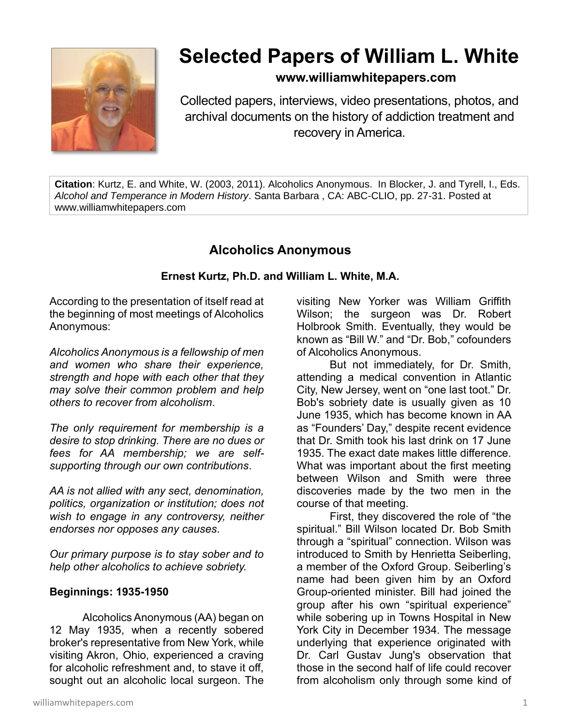

# **Selected Papers of William L. White**

### **www.williamwhitepapers.com**

Collected papers, interviews, video presentations, photos, and archival documents on the history of addiction treatment and recovery in America.

**Citation**: Kurtz, E. and White, W. (2003, 2011). Alcoholics Anonymous. In Blocker, J. and Tyrell, I., Eds. *Alcohol and Temperance in Modern History*. Santa Barbara , CA: ABC-CLIO, pp. 27-31. Posted at www.williamwhitepapers.com

# **Alcoholics Anonymous**

#### **Ernest Kurtz, Ph.D. and William L. White, M.A.**

According to the presentation of itself read at the beginning of most meetings of Alcoholics Anonymous:

*Alcoholics Anonymous is a fellowship of men and women who share their experience, strength and hope with each other that they may solve their common problem and help others to recover from alcoholism*.

*The only requirement for membership is a desire to stop drinking. There are no dues or fees for AA membership; we are selfsupporting through our own contributions*.

*AA is not allied with any sect, denomination, politics, organization or institution; does not wish to engage in any controversy, neither endorses nor opposes any causes*.

*Our primary purpose is to stay sober and to help other alcoholics to achieve sobriety.* 

#### **Beginnings: 1935-1950**

Alcoholics Anonymous (AA) began on 12 May 1935, when a recently sobered broker's representative from New York, while visiting Akron, Ohio, experienced a craving for alcoholic refreshment and, to stave it off, sought out an alcoholic local surgeon. The

williamwhitepapers.com 1

visiting New Yorker was William Griffith Wilson; the surgeon was Dr. Robert Holbrook Smith. Eventually, they would be known as "Bill W." and "Dr. Bob," cofounders of Alcoholics Anonymous.

But not immediately, for Dr. Smith, attending a medical convention in Atlantic City, New Jersey, went on "one last toot." Dr. Bob's sobriety date is usually given as 10 June 1935, which has become known in AA as "Founders' Day," despite recent evidence that Dr. Smith took his last drink on 17 June 1935. The exact date makes little difference. What was important about the first meeting between Wilson and Smith were three discoveries made by the two men in the course of that meeting.

First, they discovered the role of "the spiritual." Bill Wilson located Dr. Bob Smith through a "spiritual" connection. Wilson was introduced to Smith by Henrietta Seiberling, a member of the Oxford Group. Seiberling's name had been given him by an Oxford Group-oriented minister. Bill had joined the group after his own "spiritual experience" while sobering up in Towns Hospital in New York City in December 1934. The message underlying that experience originated with Dr. Carl Gustav Jung's observation that those in the second half of life could recover from alcoholism only through some kind of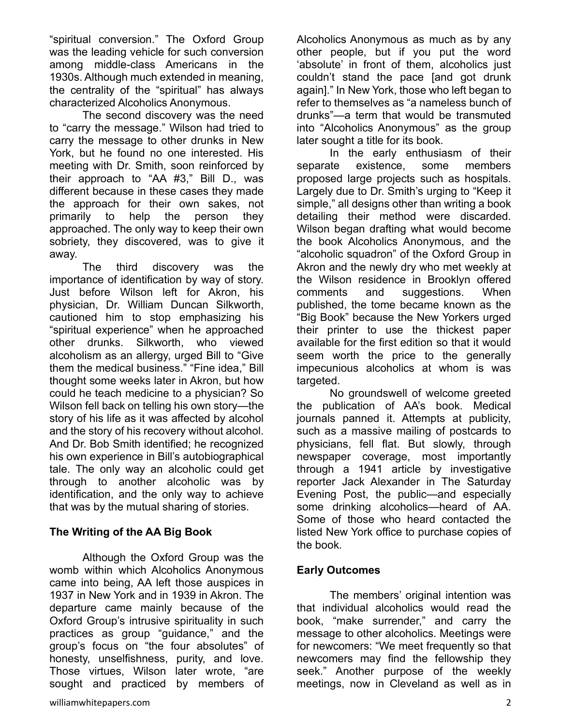"spiritual conversion." The Oxford Group was the leading vehicle for such conversion among middle-class Americans in the 1930s. Although much extended in meaning, the centrality of the "spiritual" has always characterized Alcoholics Anonymous.

The second discovery was the need to "carry the message." Wilson had tried to carry the message to other drunks in New York, but he found no one interested. His meeting with Dr. Smith, soon reinforced by their approach to "AA #3," Bill D., was different because in these cases they made the approach for their own sakes, not primarily to help the person they approached. The only way to keep their own sobriety, they discovered, was to give it away.

The third discovery was the importance of identification by way of story. Just before Wilson left for Akron, his physician, Dr. William Duncan Silkworth, cautioned him to stop emphasizing his "spiritual experience" when he approached other drunks. Silkworth, who viewed alcoholism as an allergy, urged Bill to "Give them the medical business." "Fine idea," Bill thought some weeks later in Akron, but how could he teach medicine to a physician? So Wilson fell back on telling his own story—the story of his life as it was affected by alcohol and the story of his recovery without alcohol. And Dr. Bob Smith identified; he recognized his own experience in Bill's autobiographical tale. The only way an alcoholic could get through to another alcoholic was by identification, and the only way to achieve that was by the mutual sharing of stories.

# **The Writing of the AA Big Book**

Although the Oxford Group was the womb within which Alcoholics Anonymous came into being, AA left those auspices in 1937 in New York and in 1939 in Akron. The departure came mainly because of the Oxford Group's intrusive spirituality in such practices as group "guidance," and the group's focus on "the four absolutes" of honesty, unselfishness, purity, and love. Those virtues, Wilson later wrote, "are sought and practiced by members of Alcoholics Anonymous as much as by any other people, but if you put the word 'absolute' in front of them, alcoholics just couldn't stand the pace [and got drunk again]." In New York, those who left began to refer to themselves as "a nameless bunch of drunks"—a term that would be transmuted into "Alcoholics Anonymous" as the group later sought a title for its book.

In the early enthusiasm of their separate existence, some members proposed large projects such as hospitals. Largely due to Dr. Smith's urging to "Keep it simple," all designs other than writing a book detailing their method were discarded. Wilson began drafting what would become the book Alcoholics Anonymous, and the "alcoholic squadron" of the Oxford Group in Akron and the newly dry who met weekly at the Wilson residence in Brooklyn offered comments and suggestions. When published, the tome became known as the "Big Book" because the New Yorkers urged their printer to use the thickest paper available for the first edition so that it would seem worth the price to the generally impecunious alcoholics at whom is was targeted.

No groundswell of welcome greeted the publication of AA's book. Medical journals panned it. Attempts at publicity, such as a massive mailing of postcards to physicians, fell flat. But slowly, through newspaper coverage, most importantly through a 1941 article by investigative reporter Jack Alexander in The Saturday Evening Post, the public—and especially some drinking alcoholics—heard of AA. Some of those who heard contacted the listed New York office to purchase copies of the book.

# **Early Outcomes**

The members' original intention was that individual alcoholics would read the book, "make surrender," and carry the message to other alcoholics. Meetings were for newcomers: "We meet frequently so that newcomers may find the fellowship they seek." Another purpose of the weekly meetings, now in Cleveland as well as in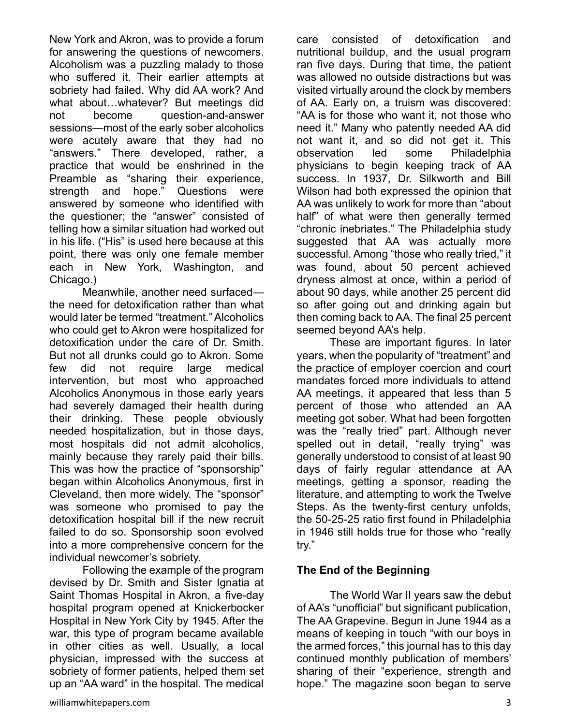New York and Akron, was to provide a forum for answering the questions of newcomers. Alcoholism was a puzzling malady to those who suffered it. Their earlier attempts at sobriety had failed. Why did AA work? And what about…whatever? But meetings did not become question-and-answer sessions—most of the early sober alcoholics were acutely aware that they had no "answers." There developed, rather, a practice that would be enshrined in the Preamble as "sharing their experience, strength and hope." Questions were answered by someone who identified with the questioner; the "answer" consisted of telling how a similar situation had worked out in his life. ("His" is used here because at this point, there was only one female member each in New York, Washington, and Chicago.)

Meanwhile, another need surfaced the need for detoxification rather than what would later be termed "treatment." Alcoholics who could get to Akron were hospitalized for detoxification under the care of Dr. Smith. But not all drunks could go to Akron. Some few did not require large medical intervention, but most who approached Alcoholics Anonymous in those early years had severely damaged their health during their drinking. These people obviously needed hospitalization, but in those days, most hospitals did not admit alcoholics, mainly because they rarely paid their bills. This was how the practice of "sponsorship" began within Alcoholics Anonymous, first in Cleveland, then more widely. The "sponsor" was someone who promised to pay the detoxification hospital bill if the new recruit failed to do so. Sponsorship soon evolved into a more comprehensive concern for the individual newcomer's sobriety.

Following the example of the program devised by Dr. Smith and Sister Ignatia at Saint Thomas Hospital in Akron, a five-day hospital program opened at Knickerbocker Hospital in New York City by 1945. After the war, this type of program became available in other cities as well. Usually, a local physician, impressed with the success at sobriety of former patients, helped them set up an "AA ward" in the hospital. The medical care consisted of detoxification and nutritional buildup, and the usual program ran five days. During that time, the patient was allowed no outside distractions but was visited virtually around the clock by members of AA. Early on, a truism was discovered: "AA is for those who want it, not those who need it." Many who patently needed AA did not want it, and so did not get it. This observation led some Philadelphia physicians to begin keeping track of AA success. In 1937, Dr. Silkworth and Bill Wilson had both expressed the opinion that AA was unlikely to work for more than "about half" of what were then generally termed "chronic inebriates." The Philadelphia study suggested that AA was actually more successful. Among "those who really tried," it was found, about 50 percent achieved dryness almost at once, within a period of about 90 days, while another 25 percent did so after going out and drinking again but then coming back to AA. The final 25 percent seemed beyond AA's help.

These are important figures. In later years, when the popularity of "treatment" and the practice of employer coercion and court mandates forced more individuals to attend AA meetings, it appeared that less than 5 percent of those who attended an AA meeting got sober. What had been forgotten was the "really tried" part. Although never spelled out in detail, "really trying" was generally understood to consist of at least 90 days of fairly regular attendance at AA meetings, getting a sponsor, reading the literature, and attempting to work the Twelve Steps. As the twenty-first century unfolds, the 50-25-25 ratio first found in Philadelphia in 1946 still holds true for those who "really try."

#### **The End of the Beginning**

The World War II years saw the debut of AA's "unofficial" but significant publication, The AA Grapevine. Begun in June 1944 as a means of keeping in touch "with our boys in the armed forces," this journal has to this day continued monthly publication of members' sharing of their "experience, strength and hope." The magazine soon began to serve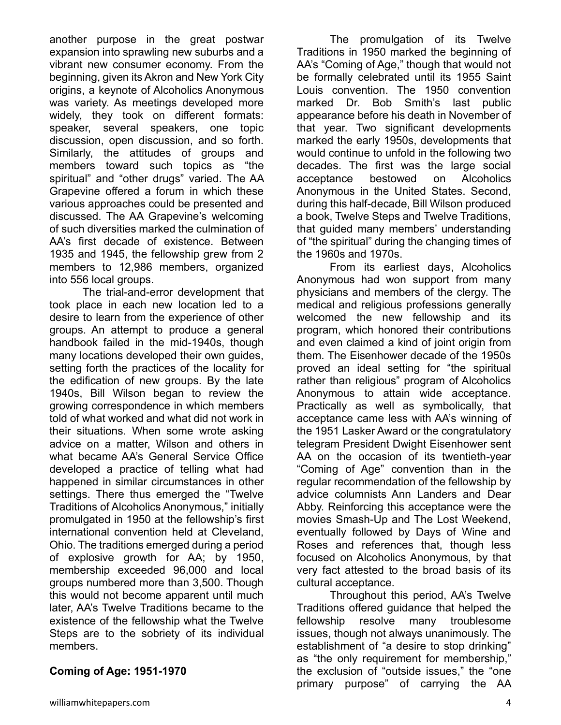another purpose in the great postwar expansion into sprawling new suburbs and a vibrant new consumer economy. From the beginning, given its Akron and New York City origins, a keynote of Alcoholics Anonymous was variety. As meetings developed more widely, they took on different formats: speaker, several speakers, one topic discussion, open discussion, and so forth. Similarly, the attitudes of groups and members toward such topics as "the spiritual" and "other drugs" varied. The AA Grapevine offered a forum in which these various approaches could be presented and discussed. The AA Grapevine's welcoming of such diversities marked the culmination of AA's first decade of existence. Between 1935 and 1945, the fellowship grew from 2 members to 12,986 members, organized into 556 local groups.

The trial-and-error development that took place in each new location led to a desire to learn from the experience of other groups. An attempt to produce a general handbook failed in the mid-1940s, though many locations developed their own guides, setting forth the practices of the locality for the edification of new groups. By the late 1940s, Bill Wilson began to review the growing correspondence in which members told of what worked and what did not work in their situations. When some wrote asking advice on a matter, Wilson and others in what became AA's General Service Office developed a practice of telling what had happened in similar circumstances in other settings. There thus emerged the "Twelve Traditions of Alcoholics Anonymous," initially promulgated in 1950 at the fellowship's first international convention held at Cleveland, Ohio. The traditions emerged during a period of explosive growth for AA; by 1950, membership exceeded 96,000 and local groups numbered more than 3,500. Though this would not become apparent until much later, AA's Twelve Traditions became to the existence of the fellowship what the Twelve Steps are to the sobriety of its individual members.

#### **Coming of Age: 1951-1970**

The promulgation of its Twelve Traditions in 1950 marked the beginning of AA's "Coming of Age," though that would not be formally celebrated until its 1955 Saint Louis convention. The 1950 convention marked Dr. Bob Smith's last public appearance before his death in November of that year. Two significant developments marked the early 1950s, developments that would continue to unfold in the following two decades. The first was the large social acceptance bestowed on Alcoholics Anonymous in the United States. Second, during this half-decade, Bill Wilson produced a book, Twelve Steps and Twelve Traditions, that guided many members' understanding of "the spiritual" during the changing times of the 1960s and 1970s.

From its earliest days, Alcoholics Anonymous had won support from many physicians and members of the clergy. The medical and religious professions generally welcomed the new fellowship and its program, which honored their contributions and even claimed a kind of joint origin from them. The Eisenhower decade of the 1950s proved an ideal setting for "the spiritual rather than religious" program of Alcoholics Anonymous to attain wide acceptance. Practically as well as symbolically, that acceptance came less with AA's winning of the 1951 Lasker Award or the congratulatory telegram President Dwight Eisenhower sent AA on the occasion of its twentieth-year "Coming of Age" convention than in the regular recommendation of the fellowship by advice columnists Ann Landers and Dear Abby. Reinforcing this acceptance were the movies Smash-Up and The Lost Weekend, eventually followed by Days of Wine and Roses and references that, though less focused on Alcoholics Anonymous, by that very fact attested to the broad basis of its cultural acceptance.

Throughout this period, AA's Twelve Traditions offered guidance that helped the fellowship resolve many troublesome issues, though not always unanimously. The establishment of "a desire to stop drinking" as "the only requirement for membership," the exclusion of "outside issues," the "one primary purpose" of carrying the AA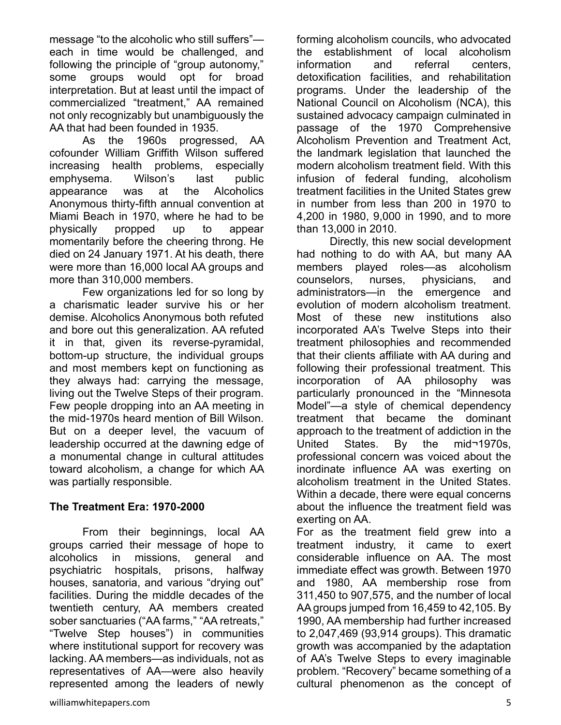message "to the alcoholic who still suffers" each in time would be challenged, and following the principle of "group autonomy," some groups would opt for broad interpretation. But at least until the impact of commercialized "treatment," AA remained not only recognizably but unambiguously the AA that had been founded in 1935.

As the 1960s progressed, AA cofounder William Griffith Wilson suffered increasing health problems, especially emphysema. Wilson's last public appearance was at the Alcoholics Anonymous thirty-fifth annual convention at Miami Beach in 1970, where he had to be physically propped up to appear momentarily before the cheering throng. He died on 24 January 1971. At his death, there were more than 16,000 local AA groups and more than 310,000 members.

Few organizations led for so long by a charismatic leader survive his or her demise. Alcoholics Anonymous both refuted and bore out this generalization. AA refuted it in that, given its reverse-pyramidal, bottom-up structure, the individual groups and most members kept on functioning as they always had: carrying the message, living out the Twelve Steps of their program. Few people dropping into an AA meeting in the mid-1970s heard mention of Bill Wilson. But on a deeper level, the vacuum of leadership occurred at the dawning edge of a monumental change in cultural attitudes toward alcoholism, a change for which AA was partially responsible.

#### **The Treatment Era: 1970-2000**

From their beginnings, local AA groups carried their message of hope to alcoholics in missions, general and psychiatric hospitals, prisons, halfway houses, sanatoria, and various "drying out" facilities. During the middle decades of the twentieth century, AA members created sober sanctuaries ("AA farms," "AA retreats," "Twelve Step houses") in communities where institutional support for recovery was lacking. AA members—as individuals, not as representatives of AA—were also heavily represented among the leaders of newly forming alcoholism councils, who advocated the establishment of local alcoholism information and referral centers, detoxification facilities, and rehabilitation programs. Under the leadership of the National Council on Alcoholism (NCA), this sustained advocacy campaign culminated in passage of the 1970 Comprehensive Alcoholism Prevention and Treatment Act, the landmark legislation that launched the modern alcoholism treatment field. With this infusion of federal funding, alcoholism treatment facilities in the United States grew in number from less than 200 in 1970 to 4,200 in 1980, 9,000 in 1990, and to more than 13,000 in 2010.

Directly, this new social development had nothing to do with AA, but many AA members played roles—as alcoholism counselors, nurses, physicians, and administrators—in the emergence and evolution of modern alcoholism treatment. Most of these new institutions also incorporated AA's Twelve Steps into their treatment philosophies and recommended that their clients affiliate with AA during and following their professional treatment. This incorporation of AA philosophy was particularly pronounced in the "Minnesota Model"—a style of chemical dependency treatment that became the dominant approach to the treatment of addiction in the United States. By the mid¬1970s, professional concern was voiced about the inordinate influence AA was exerting on alcoholism treatment in the United States. Within a decade, there were equal concerns about the influence the treatment field was exerting on AA.

For as the treatment field grew into a treatment industry, it came to exert considerable influence on AA. The most immediate effect was growth. Between 1970 and 1980, AA membership rose from 311,450 to 907,575, and the number of local AA groups jumped from 16,459 to 42,105. By 1990, AA membership had further increased to 2,047,469 (93,914 groups). This dramatic growth was accompanied by the adaptation of AA's Twelve Steps to every imaginable problem. "Recovery" became something of a cultural phenomenon as the concept of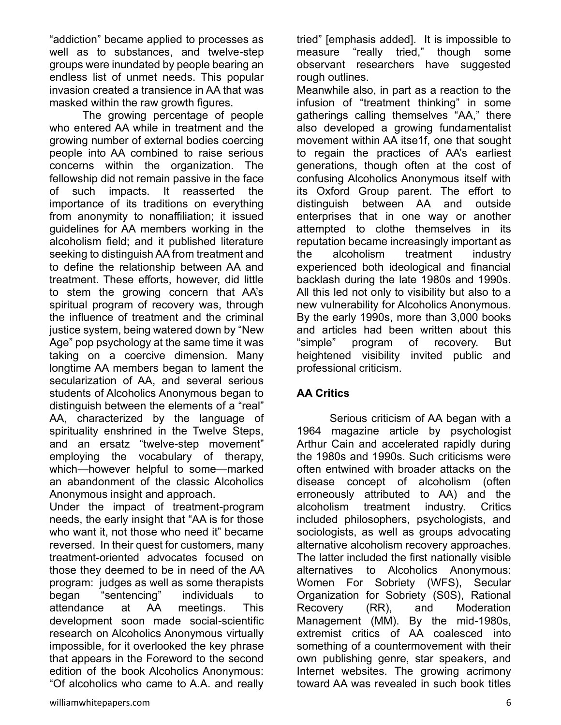"addiction" became applied to processes as well as to substances, and twelve-step groups were inundated by people bearing an endless list of unmet needs. This popular invasion created a transience in AA that was masked within the raw growth figures.

The growing percentage of people who entered AA while in treatment and the growing number of external bodies coercing people into AA combined to raise serious concerns within the organization. The fellowship did not remain passive in the face of such impacts. It reasserted the importance of its traditions on everything from anonymity to nonaffiliation; it issued guidelines for AA members working in the alcoholism field; and it published literature seeking to distinguish AA from treatment and to define the relationship between AA and treatment. These efforts, however, did little to stem the growing concern that AA's spiritual program of recovery was, through the influence of treatment and the criminal justice system, being watered down by "New Age" pop psychology at the same time it was taking on a coercive dimension. Many longtime AA members began to lament the secularization of AA, and several serious students of Alcoholics Anonymous began to distinguish between the elements of a "real" AA, characterized by the language of spirituality enshrined in the Twelve Steps, and an ersatz "twelve-step movement" employing the vocabulary of therapy, which—however helpful to some—marked an abandonment of the classic Alcoholics Anonymous insight and approach.

Under the impact of treatment-program needs, the early insight that "AA is for those who want it, not those who need it" became reversed. In their quest for customers, many treatment-oriented advocates focused on those they deemed to be in need of the AA program: judges as well as some therapists began "sentencing" individuals to attendance at AA meetings. This development soon made social-scientific research on Alcoholics Anonymous virtually impossible, for it overlooked the key phrase that appears in the Foreword to the second edition of the book Alcoholics Anonymous: "Of alcoholics who came to A.A. and really tried" [emphasis added]. It is impossible to measure "really tried," though some observant researchers have suggested rough outlines.

Meanwhile also, in part as a reaction to the infusion of "treatment thinking" in some gatherings calling themselves "AA," there also developed a growing fundamentalist movement within AA itse1f, one that sought to regain the practices of AA's earliest generations, though often at the cost of confusing Alcoholics Anonymous itself with its Oxford Group parent. The effort to distinguish between AA and outside enterprises that in one way or another attempted to clothe themselves in its reputation became increasingly important as the alcoholism treatment industry experienced both ideological and financial backlash during the late 1980s and 1990s. All this led not only to visibility but also to a new vulnerability for Alcoholics Anonymous. By the early 1990s, more than 3,000 books and articles had been written about this "simple" program of recovery. But heightened visibility invited public and professional criticism.

# **AA Critics**

Serious criticism of AA began with a 1964 magazine article by psychologist Arthur Cain and accelerated rapidly during the 1980s and 1990s. Such criticisms were often entwined with broader attacks on the disease concept of alcoholism (often erroneously attributed to AA) and the alcoholism treatment industry. Critics included philosophers, psychologists, and sociologists, as well as groups advocating alternative alcoholism recovery approaches. The latter included the first nationally visible alternatives to Alcoholics Anonymous: Women For Sobriety (WFS), Secular Organization for Sobriety (S0S), Rational Recovery (RR), and Moderation Management (MM). By the mid-1980s, extremist critics of AA coalesced into something of a countermovement with their own publishing genre, star speakers, and Internet websites. The growing acrimony toward AA was revealed in such book titles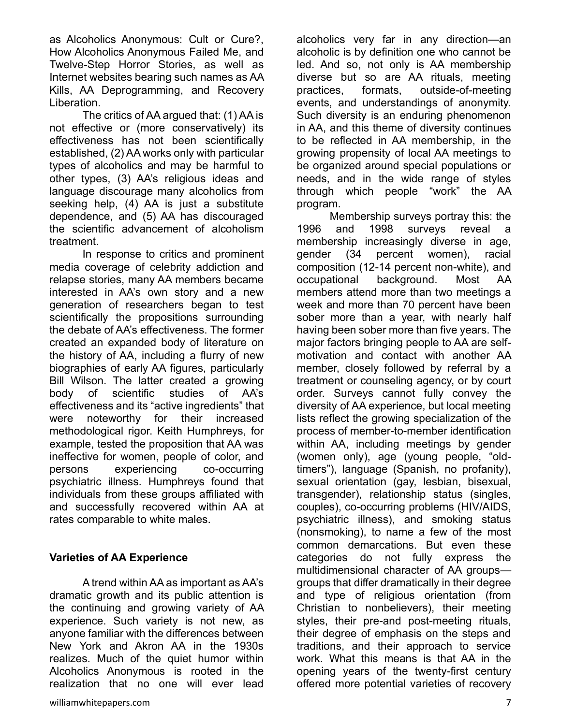as Alcoholics Anonymous: Cult or Cure?, How Alcoholics Anonymous Failed Me, and Twelve-Step Horror Stories, as well as Internet websites bearing such names as AA Kills, AA Deprogramming, and Recovery Liberation.

The critics of AA argued that: (1) AA is not effective or (more conservatively) its effectiveness has not been scientifically established, (2) AA works only with particular types of alcoholics and may be harmful to other types, (3) AA's religious ideas and language discourage many alcoholics from seeking help, (4) AA is just a substitute dependence, and (5) AA has discouraged the scientific advancement of alcoholism treatment.

In response to critics and prominent media coverage of celebrity addiction and relapse stories, many AA members became interested in AA's own story and a new generation of researchers began to test scientifically the propositions surrounding the debate of AA's effectiveness. The former created an expanded body of literature on the history of AA, including a flurry of new biographies of early AA figures, particularly Bill Wilson. The latter created a growing body of scientific studies of AA's effectiveness and its "active ingredients" that were noteworthy for their increased methodological rigor. Keith Humphreys, for example, tested the proposition that AA was ineffective for women, people of color, and persons experiencing co-occurring psychiatric illness. Humphreys found that individuals from these groups affiliated with and successfully recovered within AA at rates comparable to white males.

#### **Varieties of AA Experience**

A trend within AA as important as AA's dramatic growth and its public attention is the continuing and growing variety of AA experience. Such variety is not new, as anyone familiar with the differences between New York and Akron AA in the 1930s realizes. Much of the quiet humor within Alcoholics Anonymous is rooted in the realization that no one will ever lead alcoholics very far in any direction—an alcoholic is by definition one who cannot be led. And so, not only is AA membership diverse but so are AA rituals, meeting practices, formats, outside-of-meeting events, and understandings of anonymity. Such diversity is an enduring phenomenon in AA, and this theme of diversity continues to be reflected in AA membership, in the growing propensity of local AA meetings to be organized around special populations or needs, and in the wide range of styles through which people "work" the AA program.

Membership surveys portray this: the 1996 and 1998 surveys reveal a membership increasingly diverse in age, gender (34 percent women), racial composition (12-14 percent non-white), and occupational background. Most AA members attend more than two meetings a week and more than 70 percent have been sober more than a year, with nearly half having been sober more than five years. The major factors bringing people to AA are selfmotivation and contact with another AA member, closely followed by referral by a treatment or counseling agency, or by court order. Surveys cannot fully convey the diversity of AA experience, but local meeting lists reflect the growing specialization of the process of member-to-member identification within AA, including meetings by gender (women only), age (young people, "oldtimers"), language (Spanish, no profanity), sexual orientation (gay, lesbian, bisexual, transgender), relationship status (singles, couples), co-occurring problems (HIV/AIDS, psychiatric illness), and smoking status (nonsmoking), to name a few of the most common demarcations. But even these categories do not fully express the multidimensional character of AA groups groups that differ dramatically in their degree and type of religious orientation (from Christian to nonbelievers), their meeting styles, their pre-and post-meeting rituals, their degree of emphasis on the steps and traditions, and their approach to service work. What this means is that AA in the opening years of the twenty-first century offered more potential varieties of recovery